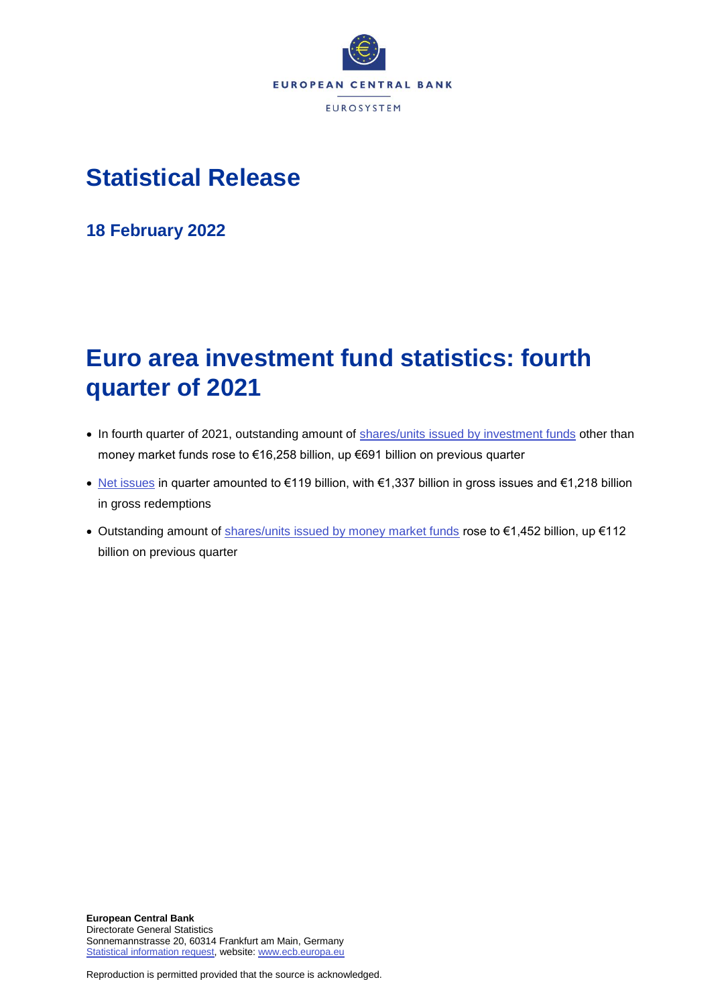

# **Statistical Release**

**18 February 2022**

# **Euro area investment fund statistics: fourth quarter of 2021**

- In fourth quarter of 2021, outstanding amount of [shares/units issued by investment funds](http://sdw.ecb.europa.eu/browseTable.do?node=SEARCHRESULTS&type=series&SERIES_KEY=225.IVF.Q.U2.N.T0.L30.A.1.Z5.0000.Z01.E&start=&end=&trans=VC&q=IVF.Q.U2.N.T0.L30.A.1.Z5.0000.Z01.E&type=series&submitOptions.x=0&submitOptions.y=0) other than money market funds rose to €16,258 billion, up €691 billion on previous quarter
- [Net issues](https://sdw.ecb.europa.eu/browseSelection.do?type=series&q=IVF.Q.U2.N.T0.L30.A.0.Z5.0000.Z01.E%2c+IVF.Q.U2.N.T0.L30.A.2.Z5.0000.Z01.E%2c+IVF.Q.U2.N.T0.L30.A.3.Z5.0000.Z01.E&node=SEARCHRESULTS&ec=&oc=&rc=&cv=&pb=&dc=&df=) in quarter amounted to €119 billion, with €1,337 billion in gross issues and €1,218 billion in gross redemptions
- Outstanding amount of [shares/units issued by money market funds](http://sdw.ecb.europa.eu/browseTable.do?node=SEARCHRESULTS&type=series&start=&end=&submitOptions.x=0&submitOptions.y=0&trans=VC&q=BSI.Q.U2.N.F.L30.A.1.Z5.0000.Z01.E&type=series) rose to €1,452 billion, up €112 billion on previous quarter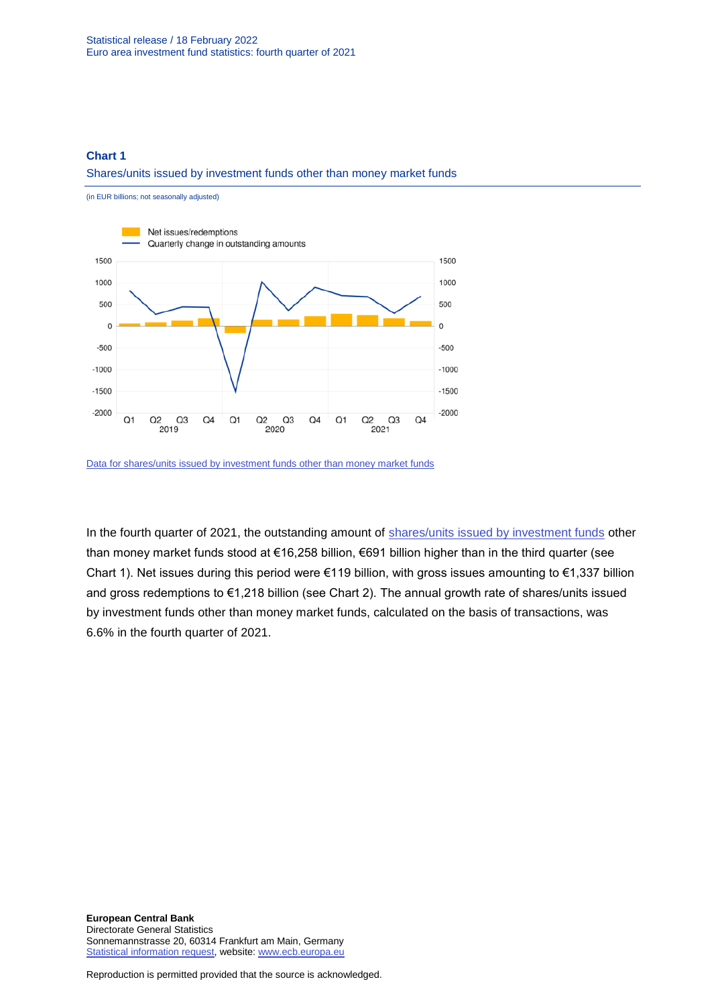### **Chart 1**

#### Shares/units issued by investment funds other than money market funds

(in EUR billions; not seasonally adjusted) Net issues/redemptions Quarterly change in outstanding amounts 1500 1500 1000 1000 500 500  $\mathfrak{o}$  $\mathbf 0$  $-500$  $-500$  $-1000$  $-1000$  $-1500$  $-1500$  $-2000$  $-2000$  $Q1$  $Q2$  $Q3$  $Q4$ Q1  $Q2$  $Q3$  $Q4$  $Q1$ Q<sub>2</sub>  $Q<sub>3</sub>$  $Q4$ 2019 2020 2021

In the fourth quarter of 2021, the outstanding amount of [shares/units issued by investment funds](https://sdw.ecb.europa.eu/browseSelection.do?type=series&q=IVF.Q.U2.N.T0.L30.A.2.Z5.0000.Z01.E%2c+IVF.Q.U2.N.T0.L30.A.3.Z5.0000.Z01.E%2c+IVF.Q.U2.N.T0.L30.A.0.Z5.0000.Z01.E%2c+IVF.Q.U2.N.T0.L30.A.1.Z5.0000.Z01.E%2c+IVF.Q.U2.N.T0.L30.A.I.Z5.0000.Z01.A&node=SEARCHRESULTS&ec=&oc=&rc=&cv=&pb=&dc=&df=) other than money market funds stood at €16,258 billion, €691 billion higher than in the third quarter (see Chart 1). Net issues during this period were €119 billion, with gross issues amounting to €1,337 billion and gross redemptions to €1,218 billion (see Chart 2). The annual growth rate of shares/units issued by investment funds other than money market funds, calculated on the basis of transactions, was 6.6% in the fourth quarter of 2021.

[Data for shares/units issued by investment funds other than money market funds](https://sdw.ecb.europa.eu/browseSelection.do?type=series&q=IVF.Q.U2.N.T0.L30.A.0.Z5.0000.Z01.E+IVF.Q.U2.N.T0.L30.A.1.Z5.0000.Z01.E&node=SEARCHRESULTS&ec=&oc=&rc=&cv=&pb=&dc=&df=)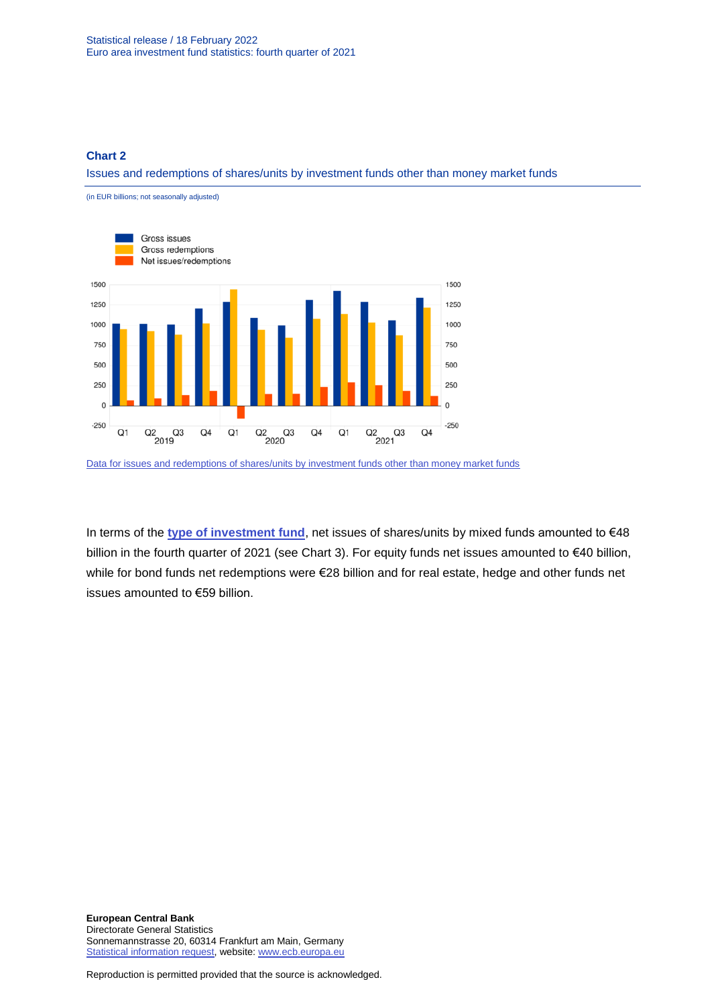### **Chart 2**

Issues and redemptions of shares/units by investment funds other than money market funds

(in EUR billions; not seasonally adjusted)



[Data for issues and redemptions of shares/units by investment funds other than money market funds](https://sdw.ecb.europa.eu/browseSelection.do?type=series&q=IVF.Q.U2.N.T0.L30.A.2.Z5.0000.Z01.E%2c+IVF.Q.U2.N.T0.L30.A.3.Z5.0000.Z01.E%2c+IVF.Q.U2.N.T0.L30.A.0.Z5.0000.Z01.E&node=SEARCHRESULTS&ec=&oc=&rc=&cv=&pb=&dc=&df=)

In terms of the **[type of investment fund](https://sdw.ecb.europa.eu/browseSelection.do?type=series&q=IVF.Q.U2.N.10.L30.A.0.Z5.0000.Z01.E+IVF.Q.U2.N.20.L30.A.0.Z5.0000.Z01.E+IVF.Q.U2.N.30.L30.A.0.Z5.0000.Z01.E+IVF.Q.U2.N.40.L30.A.0.Z5.0000.Z01.E+IVF.Q.U2.N.50.L30.A.0.Z5.0000.Z01.E+IVF.Q.U2.N.60.L30.A.0.Z5.0000.Z01.E&node=SEARCHRESULTS&ec=&oc=&rc=&cv=&pb=&dc=&df=)**, net issues of shares/units by mixed funds amounted to €48 billion in the fourth quarter of 2021 (see Chart 3). For equity funds net issues amounted to €40 billion, while for bond funds net redemptions were €28 billion and for real estate, hedge and other funds net issues amounted to €59 billion.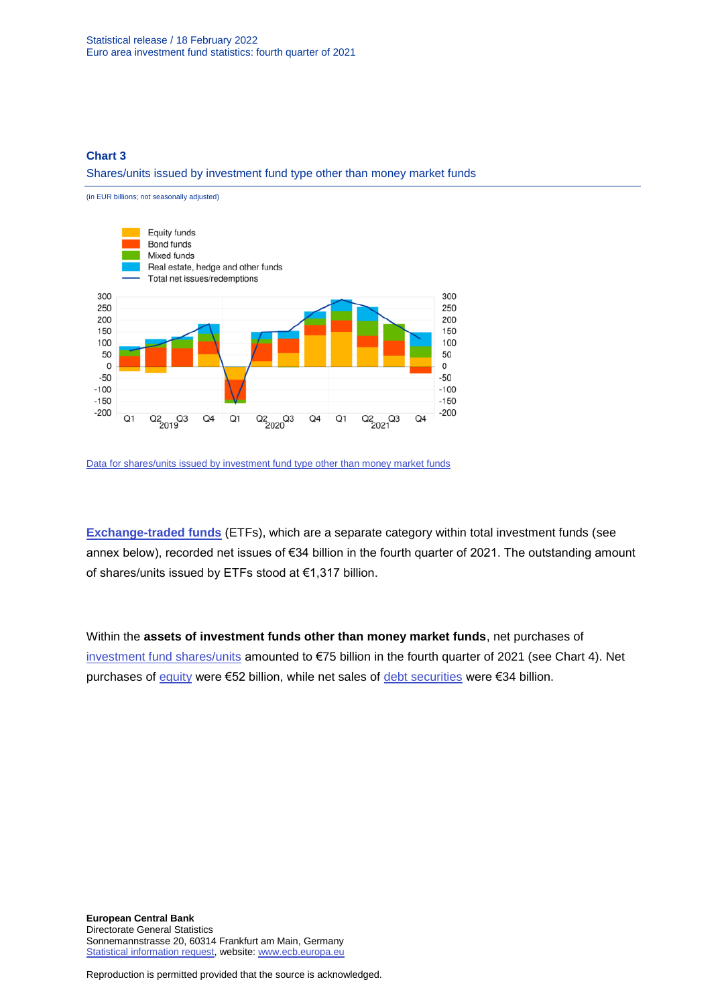### **Chart 3**

Shares/units issued by investment fund type other than money market funds



[Data for shares/units issued by investment fund type other than money market funds](https://sdw.ecb.europa.eu/browseSelection.do?type=series&q=IVF.Q.U2.N.10.L30.A.0.Z5.0000.Z01.E+IVF.Q.U2.N.20.L30.A.0.Z5.0000.Z01.E+IVF.Q.U2.N.30.L30.A.0.Z5.0000.Z01.E+IVF.Q.U2.N.40.L30.A.0.Z5.0000.Z01.E+IVF.Q.U2.N.50.L30.A.0.Z5.0000.Z01.E+IVF.Q.U2.N.60.L30.A.0.Z5.0000.Z01.E&node=SEARCHRESULTS&ec=&oc=&rc=&cv=&pb=&dc=&df=)

**[Exchange-traded funds](https://sdw.ecb.europa.eu/browseSelection.do?type=series&q=IVF.Q.U2.N.TE.L30.A.2.Z5.0000.Z01.E%2c+IVF.Q.U2.N.TE.L30.A.3.Z5.0000.Z01.E%2c+IVF.Q.U2.N.TE.L30.A.1.Z5.0000.Z01.E+&node=SEARCHRESULTS&ec=&oc=&rc=&cv=&pb=&dc=&df=)** (ETFs), which are a separate category within total investment funds (see annex below), recorded net issues of €34 billion in the fourth quarter of 2021. The outstanding amount of shares/units issued by ETFs stood at €1,317 billion.

Within the **assets of investment funds other than money market funds**, net purchases of [investment fund shares/units](https://sdw.ecb.europa.eu/browseSelection.do?type=series&q=IVF.Q.U2.N.T0.A52.A.4.Z5.0000.Z01.E&node=SEARCHRESULTS&ec=&oc=&rc=&cv=&pb=&dc=&df=) amounted to €75 billion in the fourth quarter of 2021 (see Chart 4). Net purchases of [equity](https://sdw.ecb.europa.eu/browseSelection.do?type=series&q=IVF.Q.U2.N.T0.A5A.A.4.Z5.0000.Z01.E&node=SEARCHRESULTS&ec=&oc=&rc=&cv=&pb=&dc=&df=) were €52 billion, while net sales of [debt securities](https://sdw.ecb.europa.eu/browseSelection.do?type=series&q=IVF.Q.U2.N.T0.A30.A.4.Z5.0000.Z01.E&node=SEARCHRESULTS&ec=&oc=&rc=&cv=&pb=&dc=&df=) were €34 billion.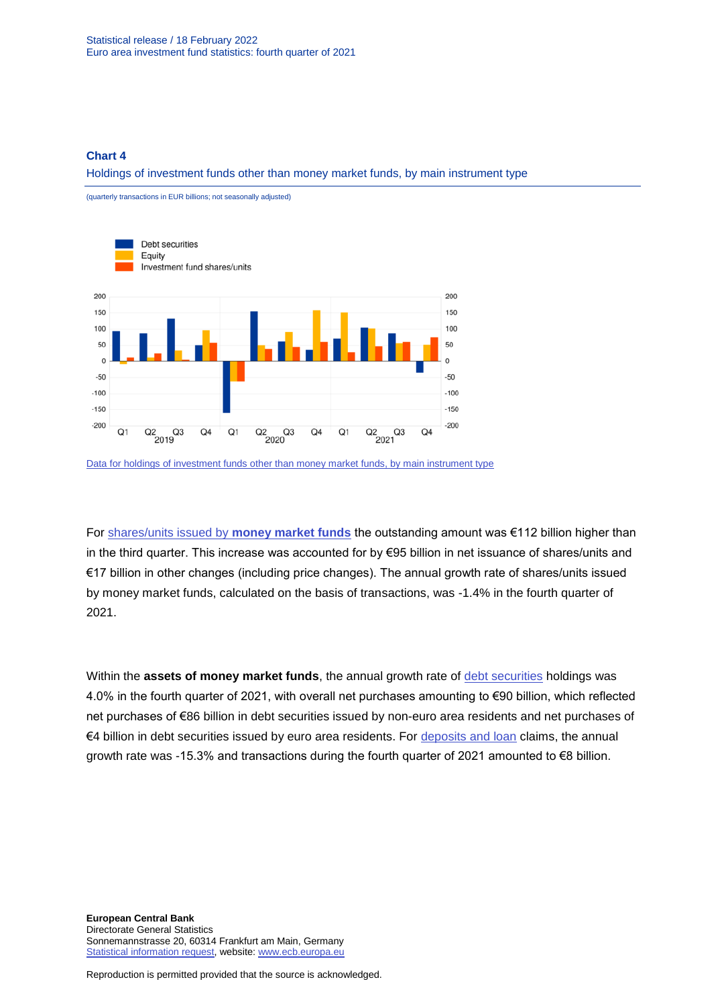(quarterly transactions in EUR billions; not seasonally adjusted)

#### **Chart 4**

Holdings of investment funds other than money market funds, by main instrument type



[Data for holdings of investment funds other than money market funds, by main instrument type](https://sdw.ecb.europa.eu/browseSelection.do?type=series&q=IVF.Q.U2.N.T0.A30.A.4.Z5.0000.Z01.E%2c+IVF.Q.U2.N.T0.A5A.A.4.Z5.0000.Z01.E%2c+IVF.Q.U2.N.T0.A52.A.4.Z5.0000.Z01.E++++&node=SEARCHRESULTS&ec=&oc=&rc=&cv=&pb=&dc=&df=)

For [shares/units issued by](https://sdw.ecb.europa.eu/browseSelection.do?type=series&q=BSI.Q.U2.N.F.L30.A.1.Z5.0000.Z01.E%2c+BSI.Q.U2.N.F.L30.A.4.Z5.0000.Z01.E%2c+BSI.Q.U2.N.F.L30.A.I.Z5.0000.Z01.A++&node=SEARCHRESULTS&ec=&oc=&rc=&cv=&pb=&dc=&df=) **money market funds** the outstanding amount was €112 billion higher than in the third quarter. This increase was accounted for by €95 billion in net issuance of shares/units and €17 billion in other changes (including price changes). The annual growth rate of shares/units issued by money market funds, calculated on the basis of transactions, was -1.4% in the fourth quarter of 2021.

Within the **assets of money market funds**, the annual growth rate of [debt securities](http://sdw.ecb.europa.eu/browseSelection.do?type=series&q=BSI.Q.U2.N.F.A30.A.1.U4.0000.Z01.E%2c+BSI.Q.U2.N.F.A30.A.4.U4.0000.Z01.E%2c+BSI.Q.U2.N.F.A30.A.1.U2.0000.Z01.E%2c+BSI.Q.U2.N.F.A30.A.4.U2.0000.Z01.E%2c+BSI.Q.U2.N.F.A30.A.I.U2.0000.Z01.A%2c+BSI.Q.U2.N.F.A30.A.I.U4.0000.Z01.A%2c+BSI.Q.U2.N.F.A30.A.1.Z5.0000.Z01.E%2c+BSI.Q.U2.N.F.A30.A.4.Z5.0000.Z01.E%2c+BSI.Q.U2.N.F.A30.A.I.Z5.0000.Z01.A++&node=SEARCHRESULTS&ec=&oc=&rc=&cv=&pb=&dc=&df=) holdings was 4.0% in the fourth quarter of 2021, with overall net purchases amounting to €90 billion, which reflected net purchases of €86 billion in debt securities issued by non-euro area residents and net purchases of €4 billion in debt securities issued by euro area residents. For [deposits and loan](http://sdw.ecb.europa.eu/browseSelection.do?type=series&q=BSI.Q.U2.N.F.A20.A.1.Z5.0000.Z01.E%2c+BSI.Q.U2.N.F.A20.A.4.Z5.0000.Z01.E%2c+BSI.Q.U2.N.F.A20.A.I.Z5.0000.Z01.A&node=SEARCHRESULTS&ec=&oc=&rc=&cv=&pb=&dc=&df=) claims, the annual growth rate was -15.3% and transactions during the fourth quarter of 2021 amounted to €8 billion.

**European Central Bank** Directorate General Statistics Sonnemannstrasse 20, 60314 Frankfurt am Main, Germany [Statistical information request,](https://ecb-registration.escb.eu/statistical-information) website: [www.ecb.europa.eu](http://www.ecb.europa.eu/)

Reproduction is permitted provided that the source is acknowledged.